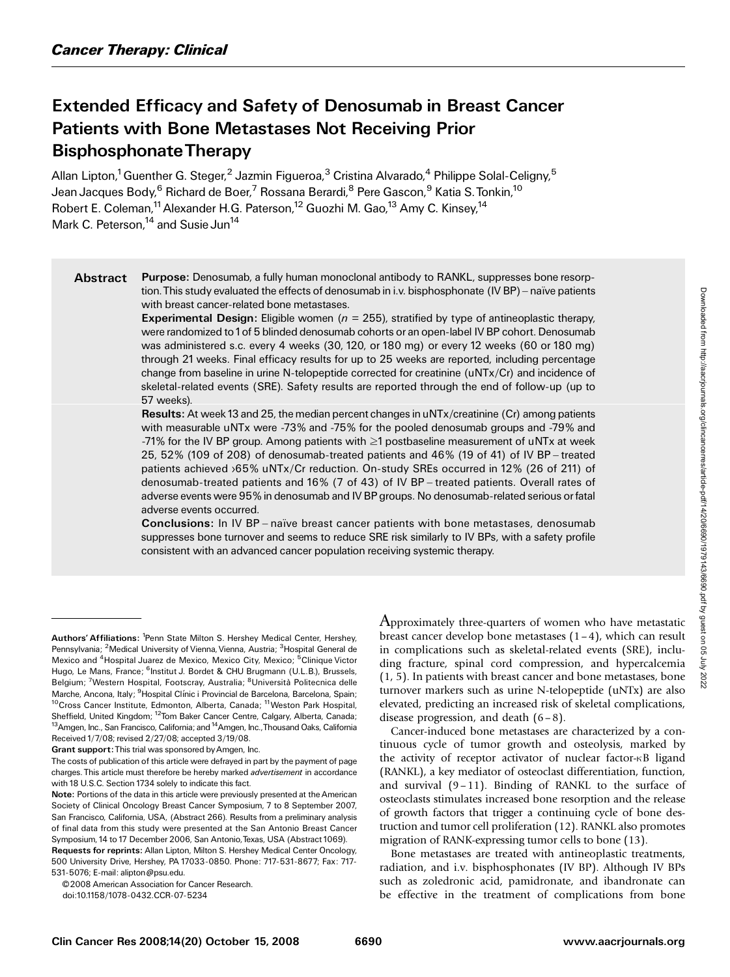# Extended Efficacy and Safety of Denosumab in Breast Cancer Patients with Bone Metastases Not Receiving Prior BisphosphonateTherapy

Allan Lipton,<sup>1</sup> Guenther G. Steger,<sup>2</sup> Jazmin Figueroa,<sup>3</sup> Cristina Alvarado,<sup>4</sup> Philippe Solal-Celigny,<sup>5</sup> Jean Jacques Body,<sup>6</sup> Richard de Boer,<sup>7</sup> Rossana Berardi,<sup>8</sup> Pere Gascon,<sup>9</sup> Katia S. Tonkin,<sup>10</sup> Robert E. Coleman,<sup>11</sup> Alexander H.G. Paterson,<sup>12</sup> Guozhi M. Gao,<sup>13</sup> Amy C. Kinsey,<sup>14</sup> Mark C. Peterson, $^{14}$  and Susie Jun<sup>14</sup>

Abstract Purpose: Denosumab, a fully human monoclonal antibody to RANKL, suppresses bone resorption. This study evaluated the effects of denosumab in i.v. bisphosphonate (IV BP) – naïve patients with breast cancer-related bone metastases.

Experimental Design: Eligible women ( $n = 255$ ), stratified by type of antineoplastic therapy, were randomized to1of 5 blinded denosumab cohorts or an open-label IV BP cohort. Denosumab was administered s.c. every 4 weeks (30, 120, or 180 mg) or every 12 weeks (60 or 180 mg) through 21weeks. Final efficacy results for up to 25 weeks are reported, including percentage change from baseline in urine N-telopeptide corrected for creatinine (uNTx/Cr) and incidence of skeletal-related events (SRE). Safety results are reported through the end of follow-up (up to 57 weeks).

Results: At week 13 and 25, the median percent changes in uNTx/creatinine (Cr) among patients with measurable uNTx were -73% and -75% for the pooled denosumab groups and -79% and -71% for the IV BP group. Among patients with  $\geq$ 1 postbaseline measurement of uNTx at week 25, 52% (109 of 208) of denosumab-treated patients and 46% (19 of 41) of IV BP ^ treated patients achieved >65% uNTx/Cr reduction. On-study SREs occurred in 12% (26 of 211) of denosumab-treated patients and 16% (7 of 43) of IV BP - treated patients. Overall rates of adverse events were 95% in denosumab and IV BP groups. No denosumab-related serious or fatal adverse events occurred.

**Conclusions:** In IV BP – naïve breast cancer patients with bone metastases, denosumab suppresses bone turnover and seems to reduce SRE risk similarly to IV BPs, with a safety profile consistent with an advanced cancer population receiving systemic therapy.

Approximately three-quarters of women who have metastatic breast cancer develop bone metastases (1 – 4), which can result in complications such as skeletal-related events (SRE), including fracture, spinal cord compression, and hypercalcemia (1, 5). In patients with breast cancer and bone metastases, bone turnover markers such as urine N-telopeptide (uNTx) are also elevated, predicting an increased risk of skeletal complications, disease progression, and death  $(6-8)$ .

Cancer-induced bone metastases are characterized by a continuous cycle of tumor growth and osteolysis, marked by the activity of receptor activator of nuclear factor- $\kappa$ B ligand (RANKL), a key mediator of osteoclast differentiation, function, and survival (9–11). Binding of RANKL to the surface of osteoclasts stimulates increased bone resorption and the release of growth factors that trigger a continuing cycle of bone destruction and tumor cell proliferation (12). RANKL also promotes migration of RANK-expressing tumor cells to bone (13).

Bone metastases are treated with antineoplastic treatments, radiation, and i.v. bisphosphonates (IV BP). Although IV BPs such as zoledronic acid, pamidronate, and ibandronate can be effective in the treatment of complications from bone

Authors' Affiliations: <sup>1</sup>Penn State Milton S. Hershey Medical Center, Hershey, Pennsylvania; <sup>2</sup>Medical University of Vienna, Vienna, Austria; <sup>3</sup>Hospital General de Mexico and <sup>4</sup>Hospital Juarez de Mexico, Mexico City, Mexico; <sup>5</sup>Clinique Victor Hugo, Le Mans, France; <sup>6</sup>Institut J. Bordet & CHU Brugmann (U.L.B.), Brussels, Belgium; <sup>7</sup>Western Hospital, Footscray, Australia; <sup>8</sup>Università Politecnica delle Marche, Ancona, Italy; <sup>9</sup> Hospital Clínic i Provincial de Barcelona, Barcelona, Spain; <sup>10</sup>Cross Cancer Institute, Edmonton, Alberta, Canada; <sup>11</sup>Weston Park Hospital, Sheffield, United Kingdom; <sup>12</sup>Tom Baker Cancer Centre, Calgary, Alberta, Canada; <sup>13</sup>Amgen, Inc., San Francisco, California; and <sup>14</sup>Amgen, Inc., Thousand Oaks, California Received 1/7/08; revised 2/27/08; accepted 3/19/08.

Grant support: This trial was sponsored by Amgen, Inc.

The costs of publication of this article were defrayed in part by the payment of page charges. This article must therefore be hereby marked *advertisement* in accordance with 18 U.S.C. Section 1734 solely to indicate this fact.

Note: Portions of the data in this article were previously presented at the American Society of Clinical Oncology Breast Cancer Symposium, 7 to 8 September 2007, San Francisco, California, USA, (Abstract 266). Results from a preliminary analysis of final data from this study were presented at the San Antonio Breast Cancer Symposium, 14 to 17 December 2006, San Antonio,Texas, USA (Abstract 1069).

Requests for reprints: Allan Lipton, Milton S. Hershey Medical Center Oncology, 500 University Drive, Hershey, PA 17033-0850. Phone: 717-531-8677; Fax: 717- 531-5076; E-mail: alipton@psu.edu.

<sup>© 2008</sup> American Association for Cancer Research.

doi:10.1158/1078-0432.CCR-07-5234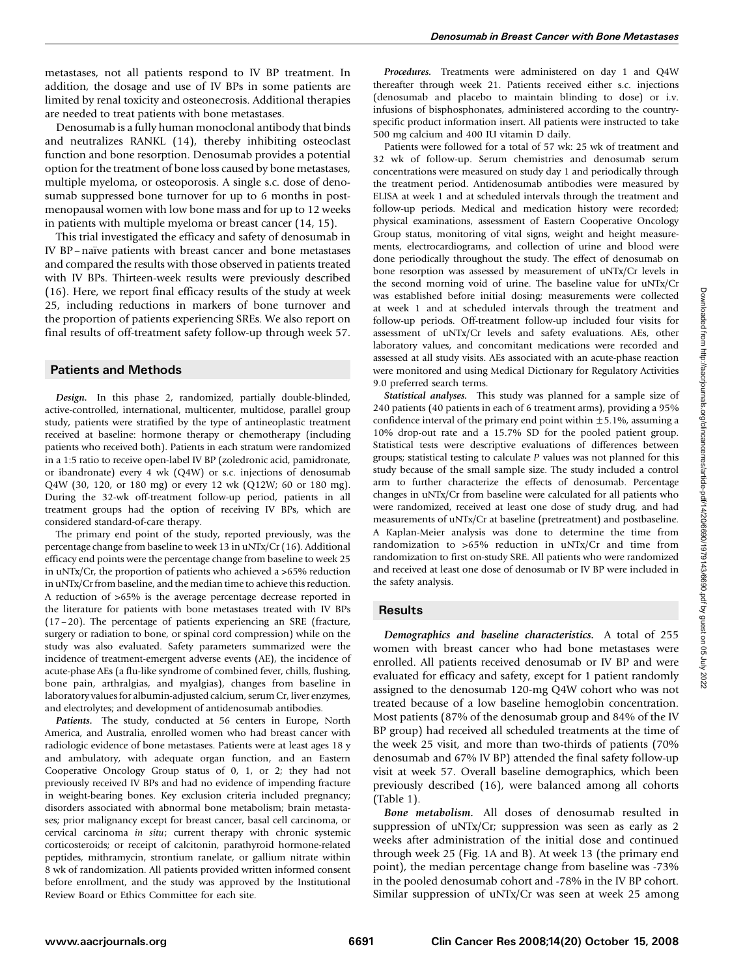metastases, not all patients respond to IV BP treatment. In addition, the dosage and use of IV BPs in some patients are limited by renal toxicity and osteonecrosis. Additional therapies are needed to treat patients with bone metastases.

Denosumab is a fully human monoclonal antibody that binds and neutralizes RANKL (14), thereby inhibiting osteoclast function and bone resorption. Denosumab provides a potential option for the treatment of bone loss caused by bone metastases, multiple myeloma, or osteoporosis. A single s.c. dose of denosumab suppressed bone turnover for up to 6 months in postmenopausal women with low bone mass and for up to 12 weeks in patients with multiple myeloma or breast cancer (14, 15).

This trial investigated the efficacy and safety of denosumab in IV BP-naïve patients with breast cancer and bone metastases and compared the results with those observed in patients treated with IV BPs. Thirteen-week results were previously described (16). Here, we report final efficacy results of the study at week 25, including reductions in markers of bone turnover and the proportion of patients experiencing SREs. We also report on final results of off-treatment safety follow-up through week 57.

## Patients and Methods

Design. In this phase 2, randomized, partially double-blinded, active-controlled, international, multicenter, multidose, parallel group study, patients were stratified by the type of antineoplastic treatment received at baseline: hormone therapy or chemotherapy (including patients who received both). Patients in each stratum were randomized in a 1:5 ratio to receive open-label IV BP (zoledronic acid, pamidronate, or ibandronate) every 4 wk (Q4W) or s.c. injections of denosumab Q4W (30, 120, or 180 mg) or every 12 wk (Q12W; 60 or 180 mg). During the 32-wk off-treatment follow-up period, patients in all treatment groups had the option of receiving IV BPs, which are considered standard-of-care therapy.

The primary end point of the study, reported previously, was the percentage change from baseline to week 13 in uNTx/Cr (16). Additional efficacy end points were the percentage change from baseline to week 25 in uNTx/Cr, the proportion of patients who achieved a >65% reduction in uNTx/Cr from baseline, and the median time to achieve this reduction. A reduction of >65% is the average percentage decrease reported in the literature for patients with bone metastases treated with IV BPs (17 – 20). The percentage of patients experiencing an SRE (fracture, surgery or radiation to bone, or spinal cord compression) while on the study was also evaluated. Safety parameters summarized were the incidence of treatment-emergent adverse events (AE), the incidence of acute-phase AEs (a flu-like syndrome of combined fever, chills, flushing, bone pain, arthralgias, and myalgias), changes from baseline in laboratory values for albumin-adjusted calcium, serum Cr, liver enzymes, and electrolytes; and development of antidenosumab antibodies.

Patients. The study, conducted at 56 centers in Europe, North America, and Australia, enrolled women who had breast cancer with radiologic evidence of bone metastases. Patients were at least ages 18 y and ambulatory, with adequate organ function, and an Eastern Cooperative Oncology Group status of 0, 1, or 2; they had not previously received IV BPs and had no evidence of impending fracture in weight-bearing bones. Key exclusion criteria included pregnancy; disorders associated with abnormal bone metabolism; brain metastases; prior malignancy except for breast cancer, basal cell carcinoma, or cervical carcinoma in situ; current therapy with chronic systemic corticosteroids; or receipt of calcitonin, parathyroid hormone-related peptides, mithramycin, strontium ranelate, or gallium nitrate within 8 wk of randomization. All patients provided written informed consent before enrollment, and the study was approved by the Institutional Review Board or Ethics Committee for each site.

Procedures. Treatments were administered on day 1 and Q4W thereafter through week 21. Patients received either s.c. injections (denosumab and placebo to maintain blinding to dose) or i.v. infusions of bisphosphonates, administered according to the countryspecific product information insert. All patients were instructed to take 500 mg calcium and 400 IU vitamin D daily.

Patients were followed for a total of 57 wk: 25 wk of treatment and 32 wk of follow-up. Serum chemistries and denosumab serum concentrations were measured on study day 1 and periodically through the treatment period. Antidenosumab antibodies were measured by ELISA at week 1 and at scheduled intervals through the treatment and follow-up periods. Medical and medication history were recorded; physical examinations, assessment of Eastern Cooperative Oncology Group status, monitoring of vital signs, weight and height measurements, electrocardiograms, and collection of urine and blood were done periodically throughout the study. The effect of denosumab on bone resorption was assessed by measurement of uNTx/Cr levels in the second morning void of urine. The baseline value for uNTx/Cr was established before initial dosing; measurements were collected at week 1 and at scheduled intervals through the treatment and follow-up periods. Off-treatment follow-up included four visits for assessment of uNTx/Cr levels and safety evaluations. AEs, other laboratory values, and concomitant medications were recorded and assessed at all study visits. AEs associated with an acute-phase reaction were monitored and using Medical Dictionary for Regulatory Activities 9.0 preferred search terms.

Statistical analyses. This study was planned for a sample size of 240 patients (40 patients in each of 6 treatment arms), providing a 95% confidence interval of the primary end point within  $\pm$  5.1%, assuming a 10% drop-out rate and a 15.7% SD for the pooled patient group. Statistical tests were descriptive evaluations of differences between groups; statistical testing to calculate P values was not planned for this study because of the small sample size. The study included a control arm to further characterize the effects of denosumab. Percentage changes in uNTx/Cr from baseline were calculated for all patients who were randomized, received at least one dose of study drug, and had measurements of uNTx/Cr at baseline (pretreatment) and postbaseline. A Kaplan-Meier analysis was done to determine the time from randomization to >65% reduction in uNTx/Cr and time from randomization to first on-study SRE. All patients who were randomized and received at least one dose of denosumab or IV BP were included in the safety analysis.

### **Results**

Demographics and baseline characteristics. A total of 255 women with breast cancer who had bone metastases were enrolled. All patients received denosumab or IV BP and were evaluated for efficacy and safety, except for 1 patient randomly assigned to the denosumab 120-mg Q4W cohort who was not treated because of a low baseline hemoglobin concentration. Most patients (87% of the denosumab group and 84% of the IV BP group) had received all scheduled treatments at the time of the week 25 visit, and more than two-thirds of patients (70% denosumab and 67% IV BP) attended the final safety follow-up visit at week 57. Overall baseline demographics, which been previously described (16), were balanced among all cohorts (Table 1).

Bone metabolism. All doses of denosumab resulted in suppression of uNTx/Cr; suppression was seen as early as 2 weeks after administration of the initial dose and continued through week 25 (Fig. 1A and B). At week 13 (the primary end point), the median percentage change from baseline was -73% in the pooled denosumab cohort and -78% in the IV BP cohort. Similar suppression of uNTx/Cr was seen at week 25 among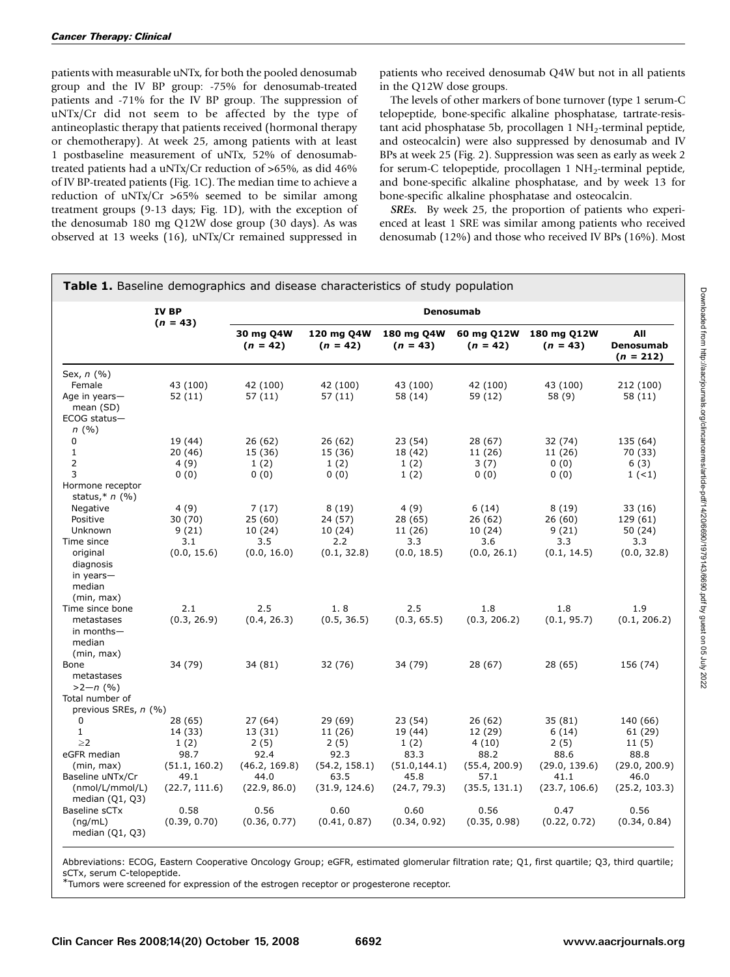patients with measurable uNTx, for both the pooled denosumab group and the IV BP group: -75% for denosumab-treated patients and -71% for the IV BP group. The suppression of uNTx/Cr did not seem to be affected by the type of antineoplastic therapy that patients received (hormonal therapy or chemotherapy). At week 25, among patients with at least 1 postbaseline measurement of uNTx, 52% of denosumabtreated patients had a uNTx/Cr reduction of >65%, as did 46% of IV BP-treated patients (Fig. 1C). The median time to achieve a reduction of uNTx/Cr >65% seemed to be similar among treatment groups (9-13 days; Fig. 1D), with the exception of the denosumab 180 mg Q12W dose group (30 days). As was observed at 13 weeks (16), uNTx/Cr remained suppressed in

patients who received denosumab Q4W but not in all patients in the Q12W dose groups.

The levels of other markers of bone turnover (type 1 serum-C telopeptide, bone-specific alkaline phosphatase, tartrate-resistant acid phosphatase 5b, procollagen 1  $NH<sub>2</sub>$ -terminal peptide, and osteocalcin) were also suppressed by denosumab and IV BPs at week 25 (Fig. 2). Suppression was seen as early as week 2 for serum-C telopeptide, procollagen  $1$  NH<sub>2</sub>-terminal peptide, and bone-specific alkaline phosphatase, and by week 13 for bone-specific alkaline phosphatase and osteocalcin.

SREs. By week 25, the proportion of patients who experienced at least 1 SRE was similar among patients who received denosumab (12%) and those who received IV BPs (16%). Most

| <b>Table 1.</b> Baseline demographics and disease characteristics of study population                                                                                                           |                                                                                                      |                                                                                                    |                                                                                                      |                                                                                                     |                                                                                                       |                                                                                                    |                                                                                                         |  |  |  |
|-------------------------------------------------------------------------------------------------------------------------------------------------------------------------------------------------|------------------------------------------------------------------------------------------------------|----------------------------------------------------------------------------------------------------|------------------------------------------------------------------------------------------------------|-----------------------------------------------------------------------------------------------------|-------------------------------------------------------------------------------------------------------|----------------------------------------------------------------------------------------------------|---------------------------------------------------------------------------------------------------------|--|--|--|
|                                                                                                                                                                                                 | <b>IV BP</b><br>$(n = 43)$                                                                           | Denosumab                                                                                          |                                                                                                      |                                                                                                     |                                                                                                       |                                                                                                    |                                                                                                         |  |  |  |
|                                                                                                                                                                                                 |                                                                                                      | 30 mg Q4W<br>$(n = 42)$                                                                            | 120 mg Q4W<br>$(n = 42)$                                                                             | 180 mg Q4W<br>$(n = 43)$                                                                            | 60 mg Q12W<br>$(n = 42)$                                                                              | 180 mg Q12W<br>$(n = 43)$                                                                          | All<br>Denosumab<br>$(n = 212)$                                                                         |  |  |  |
| Sex, $n$ (%)<br>Female<br>Age in years-<br>mean (SD)<br>ECOG status-                                                                                                                            | 43 (100)<br>52 (11)                                                                                  | 42 (100)<br>57 (11)                                                                                | 42 (100)<br>57 (11)                                                                                  | 43 (100)<br>58 (14)                                                                                 | 42 (100)<br>59 (12)                                                                                   | 43 (100)<br>58 (9)                                                                                 | 212 (100)<br>58 (11)                                                                                    |  |  |  |
| n(%)<br>$\mathbf 0$<br>$\mathbf{1}$<br>$\overline{2}$<br>3<br>Hormone receptor                                                                                                                  | 19 (44)<br>20(46)<br>4 (9)<br>0(0)                                                                   | 26(62)<br>15 (36)<br>1(2)<br>0(0)                                                                  | 26 (62)<br>15 (36)<br>1(2)<br>0(0)                                                                   | 23(54)<br>18 (42)<br>1(2)<br>1(2)                                                                   | 28 (67)<br>11 (26)<br>3(7)<br>0(0)                                                                    | 32 (74)<br>11 (26)<br>0(0)<br>0(0)                                                                 | 135 (64)<br>70 (33)<br>6(3)<br>1(1)                                                                     |  |  |  |
| status,* $n$ (%)<br>Negative<br>Positive<br>Unknown<br>Time since<br>original<br>diagnosis                                                                                                      | 4(9)<br>30 (70)<br>9(21)<br>3.1<br>(0.0, 15.6)                                                       | 7(17)<br>25(60)<br>10(24)<br>3.5<br>(0.0, 16.0)                                                    | 8(19)<br>24 (57)<br>10 (24)<br>2.2<br>(0.1, 32.8)                                                    | 4 (9)<br>28 (65)<br>11 (26)<br>3.3<br>(0.0, 18.5)                                                   | 6(14)<br>26 (62)<br>10(24)<br>3.6<br>(0.0, 26.1)                                                      | 8(19)<br>26(60)<br>9(21)<br>3.3<br>(0.1, 14.5)                                                     | 33 (16)<br>129 (61)<br>50 (24)<br>3.3<br>(0.0, 32.8)                                                    |  |  |  |
| in years-<br>median<br>(min, max)<br>Time since bone<br>metastases<br>in months-<br>median                                                                                                      | 2.1<br>(0.3, 26.9)                                                                                   | 2.5<br>(0.4, 26.3)                                                                                 | 1.8<br>(0.5, 36.5)                                                                                   | 2.5<br>(0.3, 65.5)                                                                                  | 1.8<br>(0.3, 206.2)                                                                                   | 1.8<br>(0.1, 95.7)                                                                                 | 1.9<br>(0.1, 206.2)                                                                                     |  |  |  |
| (min, max)<br>Bone<br>metastases<br>$>2-n$ (%)<br>Total number of                                                                                                                               | 34 (79)                                                                                              | 34 (81)                                                                                            | 32 (76)                                                                                              | 34 (79)                                                                                             | 28 (67)                                                                                               | 28 (65)                                                                                            | 156 (74)                                                                                                |  |  |  |
| previous SREs, n (%)<br>0<br>$\mathbf{1}$<br>$\geq$ 2<br>eGFR median<br>(min, max)<br>Baseline uNTx/Cr<br>(nmol/L/mmol/L)<br>median $(Q1, Q3)$<br>Baseline sCTx<br>(nq/mL)<br>median $(Q1, Q3)$ | 28 (65)<br>14 (33)<br>1(2)<br>98.7<br>(51.1, 160.2)<br>49.1<br>(22.7, 111.6)<br>0.58<br>(0.39, 0.70) | 27(64)<br>13 (31)<br>2(5)<br>92.4<br>(46.2, 169.8)<br>44.0<br>(22.9, 86.0)<br>0.56<br>(0.36, 0.77) | 29 (69)<br>11 (26)<br>2(5)<br>92.3<br>(54.2, 158.1)<br>63.5<br>(31.9, 124.6)<br>0.60<br>(0.41, 0.87) | 23 (54)<br>19 (44)<br>1(2)<br>83.3<br>(51.0, 144.1)<br>45.8<br>(24.7, 79.3)<br>0.60<br>(0.34, 0.92) | 26 (62)<br>12 (29)<br>4(10)<br>88.2<br>(55.4, 200.9)<br>57.1<br>(35.5, 131.1)<br>0.56<br>(0.35, 0.98) | 35 (81)<br>6(14)<br>2(5)<br>88.6<br>(29.0, 139.6)<br>41.1<br>(23.7, 106.6)<br>0.47<br>(0.22, 0.72) | 140 (66)<br>61 (29)<br>11 (5)<br>88.8<br>(29.0, 200.9)<br>46.0<br>(25.2, 103.3)<br>0.56<br>(0.34, 0.84) |  |  |  |

Abbreviations: ECOG, Eastern Cooperative Oncology Group; eGFR, estimated glomerular filtration rate; Q1, first quartile; Q3, third quartile; sCTx, serum C-telopeptide.

 $^*$ Tumors were screened for expression of the estrogen receptor or progesterone receptor.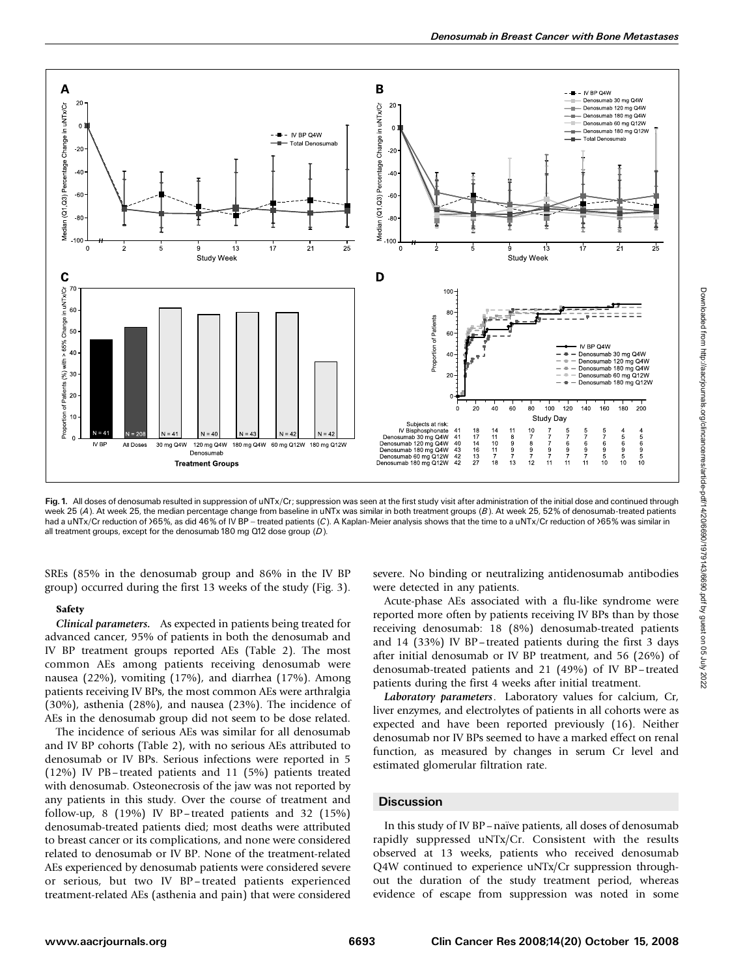

Fig. 1. All doses of denosumab resulted in suppression of uNTx/Cr; suppression was seen at the first study visit after administration of the initial dose and continued through week 25 (A). At week 25, the median percentage change from baseline in uNTx was similar in both treatment groups (B). At week 25, 52% of denosumab-treated patients had a uNTx/Cr reduction of >65%, as did 46% of IV BP - treated patients (C). A Kaplan-Meier analysis shows that the time to a uNTx/Cr reduction of >65% was similar in all treatment groups, except for the denosumab 180 mg Q12 dose group (D).

SREs (85% in the denosumab group and 86% in the IV BP group) occurred during the first 13 weeks of the study (Fig. 3).

## Safety

Clinical parameters. As expected in patients being treated for advanced cancer, 95% of patients in both the denosumab and IV BP treatment groups reported AEs (Table 2). The most common AEs among patients receiving denosumab were nausea (22%), vomiting (17%), and diarrhea (17%). Among patients receiving IV BPs, the most common AEs were arthralgia (30%), asthenia (28%), and nausea (23%). The incidence of AEs in the denosumab group did not seem to be dose related.

The incidence of serious AEs was similar for all denosumab and IV BP cohorts (Table 2), with no serious AEs attributed to denosumab or IV BPs. Serious infections were reported in 5 (12%) IV PB – treated patients and 11 (5%) patients treated with denosumab. Osteonecrosis of the jaw was not reported by any patients in this study. Over the course of treatment and follow-up, 8 (19%) IV BP – treated patients and 32 (15%) denosumab-treated patients died; most deaths were attributed to breast cancer or its complications, and none were considered related to denosumab or IV BP. None of the treatment-related AEs experienced by denosumab patients were considered severe or serious, but two IV BP– treated patients experienced treatment-related AEs (asthenia and pain) that were considered severe. No binding or neutralizing antidenosumab antibodies were detected in any patients.

Acute-phase AEs associated with a flu-like syndrome were reported more often by patients receiving IV BPs than by those receiving denosumab: 18 (8%) denosumab-treated patients and 14 (33%) IV BP – treated patients during the first 3 days after initial denosumab or IV BP treatment, and 56 (26%) of denosumab-treated patients and 21 (49%) of IV BP – treated patients during the first 4 weeks after initial treatment.

Laboratory parameters. Laboratory values for calcium, Cr, liver enzymes, and electrolytes of patients in all cohorts were as expected and have been reported previously (16). Neither denosumab nor IV BPs seemed to have a marked effect on renal function, as measured by changes in serum Cr level and estimated glomerular filtration rate.

# **Discussion**

In this study of IV BP - naïve patients, all doses of denosumab rapidly suppressed uNTx/Cr. Consistent with the results observed at 13 weeks, patients who received denosumab Q4W continued to experience uNTx/Cr suppression throughout the duration of the study treatment period, whereas evidence of escape from suppression was noted in some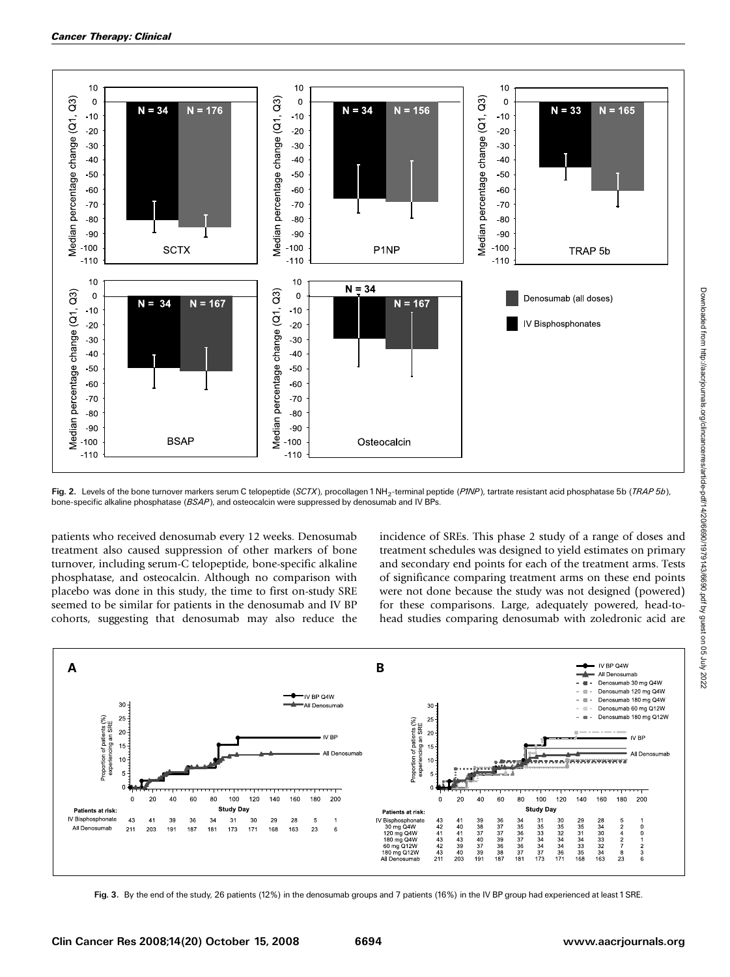

Fig. 2. Levels of the bone turnover markers serum C telopeptide (SCTX), procollagen 1 NH<sub>2</sub>-terminal peptide (P1NP), tartrate resistant acid phosphatase 5b (TRAP 5b), bone-specific alkaline phosphatase (BSAP), and osteocalcin were suppressed by denosumab and IV BPs.

patients who received denosumab every 12 weeks. Denosumab treatment also caused suppression of other markers of bone turnover, including serum-C telopeptide, bone-specific alkaline phosphatase, and osteocalcin. Although no comparison with placebo was done in this study, the time to first on-study SRE seemed to be similar for patients in the denosumab and IV BP cohorts, suggesting that denosumab may also reduce the incidence of SREs. This phase 2 study of a range of doses and treatment schedules was designed to yield estimates on primary and secondary end points for each of the treatment arms. Tests of significance comparing treatment arms on these end points were not done because the study was not designed (powered) for these comparisons. Large, adequately powered, head-tohead studies comparing denosumab with zoledronic acid are



Fig. 3. By the end of the study, 26 patients (12%) in the denosumab groups and 7 patients (16%) in the IV BP group had experienced at least 1SRE.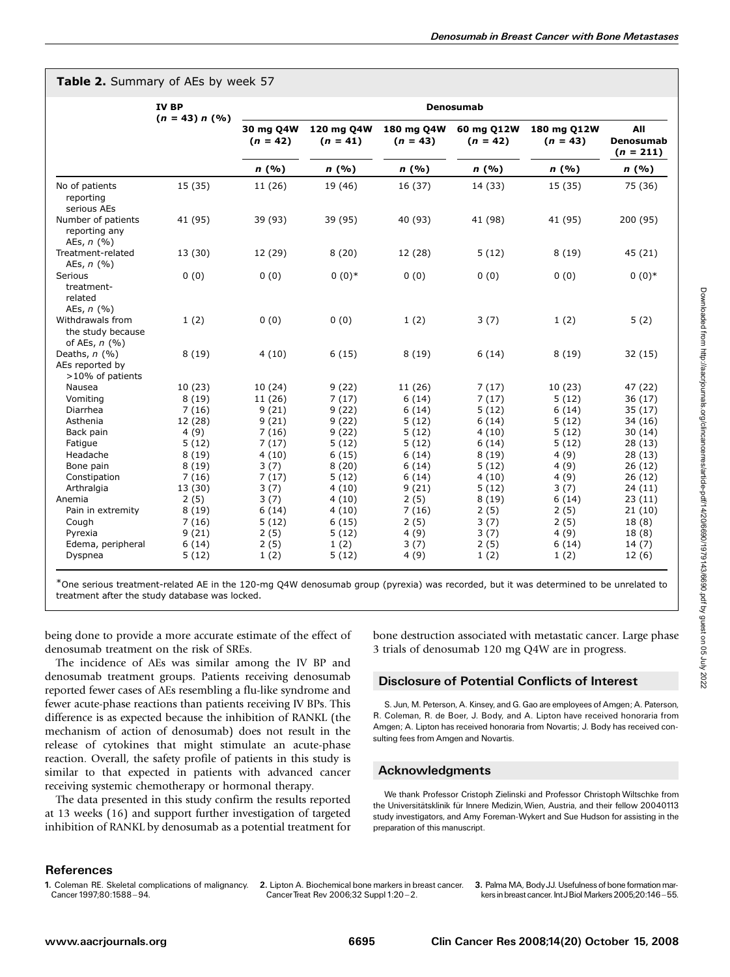## Table 2. Summary of AEs by week 57

|                                                          | <b>IV BP</b><br>$(n = 43) n (%$ | <b>Denosumab</b>                |                                  |                                  |                                  |                                   |                                                |  |
|----------------------------------------------------------|---------------------------------|---------------------------------|----------------------------------|----------------------------------|----------------------------------|-----------------------------------|------------------------------------------------|--|
|                                                          |                                 | 30 mg Q4W<br>$(n = 42)$<br>n(%) | 120 mg Q4W<br>$(n = 41)$<br>n(%) | 180 mg Q4W<br>$(n = 43)$<br>n(%) | 60 mg Q12W<br>$(n = 42)$<br>n(%) | 180 mg Q12W<br>$(n = 43)$<br>n(%) | All<br><b>Denosumab</b><br>$(n = 211)$<br>n(%) |  |
|                                                          |                                 |                                 |                                  |                                  |                                  |                                   |                                                |  |
| No of patients<br>reporting<br>serious AEs               | 15 (35)                         | 11 (26)                         | 19 (46)                          | 16 (37)                          | 14 (33)                          | 15 (35)                           | 75 (36)                                        |  |
| Number of patients<br>reporting any<br>AEs, $n$ $(\%)$   | 41 (95)                         | 39 (93)                         | 39 (95)                          | 40 (93)                          | 41 (98)                          | 41 (95)                           | 200 (95)                                       |  |
| Treatment-related<br>AEs, $n$ $(\%)$                     | 13 (30)                         | 12 (29)                         | 8(20)                            | 12 (28)                          | 5(12)                            | 8(19)                             | 45 (21)                                        |  |
| Serious<br>treatment-<br>related<br>AEs, $n$ $(\%)$      | 0(0)                            | 0(0)                            | $0(0)*$                          | 0(0)                             | 0(0)                             | 0(0)                              | $0(0)*$                                        |  |
| Withdrawals from<br>the study because<br>of AEs, $n$ (%) | 1(2)                            | 0(0)                            | 0(0)                             | 1(2)                             | 3(7)                             | 1(2)                              | 5(2)                                           |  |
| Deaths, $n$ (%)<br>AEs reported by<br>>10% of patients   | 8(19)                           | 4(10)                           | 6(15)                            | 8(19)                            | 6(14)                            | 8(19)                             | 32(15)                                         |  |
| Nausea                                                   | 10(23)                          | 10(24)                          | 9(22)                            | 11 (26)                          | 7(17)                            | 10(23)                            | 47 (22)                                        |  |
| Vomiting                                                 | 8(19)                           | 11 (26)                         | 7(17)                            | 6(14)                            | 7(17)                            | 5(12)                             | 36(17)                                         |  |
| Diarrhea                                                 | 7(16)                           | 9(21)                           | 9(22)                            | 6(14)                            | 5(12)                            | 6(14)                             | 35(17)                                         |  |
| Asthenia                                                 | 12 (28)                         | 9(21)                           | 9(22)                            | 5(12)                            | 6(14)                            | 5(12)                             | 34 (16)                                        |  |
| Back pain                                                | 4(9)                            | 7(16)                           | 9(22)                            | 5(12)                            | 4(10)                            | 5(12)                             | 30(14)                                         |  |
| Fatigue                                                  | 5(12)                           | 7(17)                           | 5(12)                            | 5(12)                            | 6(14)                            | 5(12)                             | 28(13)                                         |  |
| Headache                                                 | 8(19)                           | 4(10)                           | 6(15)                            | 6(14)                            | 8(19)                            | 4(9)                              | 28(13)                                         |  |
| Bone pain                                                | 8(19)                           | 3(7)                            | 8(20)                            | 6(14)                            | 5(12)                            | 4(9)                              | 26(12)                                         |  |
| Constipation                                             | 7(16)                           | 7(17)                           | 5(12)                            | 6(14)                            | 4(10)                            | 4(9)                              | 26(12)                                         |  |
| Arthralgia                                               | 13 (30)                         | 3(7)                            | 4(10)                            | 9(21)                            | 5(12)                            | 3(7)                              | 24(11)                                         |  |
| Anemia                                                   | 2(5)                            | 3(7)                            | 4(10)                            | 2(5)                             | 8(19)                            | 6(14)                             | 23(11)                                         |  |
| Pain in extremity<br>Cough                               | 8(19)<br>7(16)                  | 6(14)<br>5(12)                  | 4(10)                            | 7(16)<br>2(5)                    | 2(5)<br>3(7)                     | 2(5)<br>2(5)                      | 21(10)<br>18(8)                                |  |
| Pyrexia                                                  | 9(21)                           | 2(5)                            | 6(15)<br>5(12)                   | 4(9)                             | 3(7)                             | 4(9)                              | 18(8)                                          |  |
| Edema, peripheral                                        | 6(14)                           | 2(5)                            | 1(2)                             | 3(7)                             | 2(5)                             | 6(14)                             | 14(7)                                          |  |
| Dyspnea                                                  | 5(12)                           | 1(2)                            | 5(12)                            | 4(9)                             | 1(2)                             | 1(2)                              | 12(6)                                          |  |

\*One serious treatment-related AE in the 120-mg Q4W denosumab group (pyrexia) was recorded, but it was determined to be unrelated to treatment after the study database was locked.

being done to provide a more accurate estimate of the effect of denosumab treatment on the risk of SREs.

The incidence of AEs was similar among the IV BP and denosumab treatment groups. Patients receiving denosumab reported fewer cases of AEs resembling a flu-like syndrome and fewer acute-phase reactions than patients receiving IV BPs. This difference is as expected because the inhibition of RANKL (the mechanism of action of denosumab) does not result in the release of cytokines that might stimulate an acute-phase reaction. Overall, the safety profile of patients in this study is similar to that expected in patients with advanced cancer receiving systemic chemotherapy or hormonal therapy.

The data presented in this study confirm the results reported at 13 weeks (16) and support further investigation of targeted inhibition of RANKL by denosumab as a potential treatment for bone destruction associated with metastatic cancer. Large phase 3 trials of denosumab 120 mg Q4W are in progress.

# Disclosure of Potential Conflicts of Interest

S. Jun, M. Peterson, A. Kinsey, and G. Gao are employees of Amgen; A. Paterson, R. Coleman, R. de Boer, J. Body, and A. Lipton have received honoraria from Amgen; A. Lipton has received honoraria from Novartis; J. Body has received consulting fees from Amgen and Novartis.

### Acknowledgments

We thank Professor Cristoph Zielinski and Professor Christoph Wiltschke from the Universitätsklinik für Innere Medizin, Wien, Austria, and their fellow 20040113 study investigators, and Amy Foreman-Wykert and Sue Hudson for assisting in the preparation of this manuscript.

## **References**

Cancer Treat Rev 2006;32 Suppl 1:20 - 2.

2. Lipton A. Biochemical bone markers in breast cancer. 3. Palma MA, BodyJJ. Usefulness of bone formation markers in breast cancer. IntJ Biol Markers 2005;20:146-55.

<sup>1.</sup> Coleman RE. Skeletal complications of malignancy. Cancer 1997;80:1588-94.